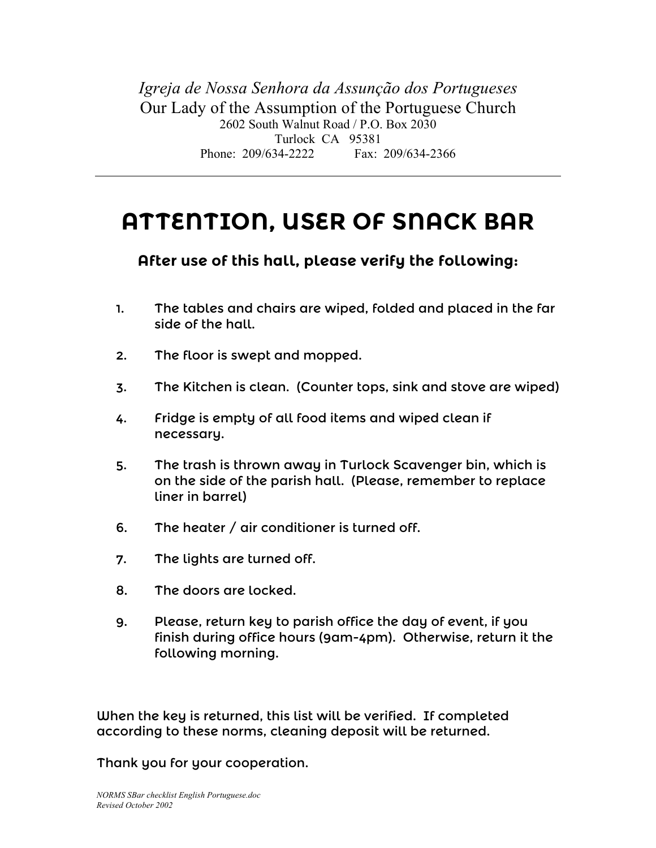*Igreja de Nossa Senhora da Assunção dos Portugueses* Our Lady of the Assumption of the Portuguese Church 2602 South Walnut Road / P.O. Box 2030 Turlock CA 95381 Phone: 209/634-2222 Fax: 209/634-2366

## **ATTENTION, USER OF SNACK BAR**

## **After use of this hall, please verify the following:**

- 1. The tables and chairs are wiped, folded and placed in the far side of the hall.
- 2. The floor is swept and mopped.
- 3. The Kitchen is clean. (Counter tops, sink and stove are wiped)
- 4. Fridge is empty of all food items and wiped clean if necessary.
- 5. The trash is thrown away in Turlock Scavenger bin, which is on the side of the parish hall. (Please, remember to replace liner in barrel)
- 6. The heater / air conditioner is turned off.
- 7. The lights are turned off.
- 8. The doors are locked.
- 9. Please, return key to parish office the day of event, if you finish during office hours (9am-4pm). Otherwise, return it the following morning.

When the key is returned, this list will be verified. If completed according to these norms, cleaning deposit will be returned.

Thank you for your cooperation.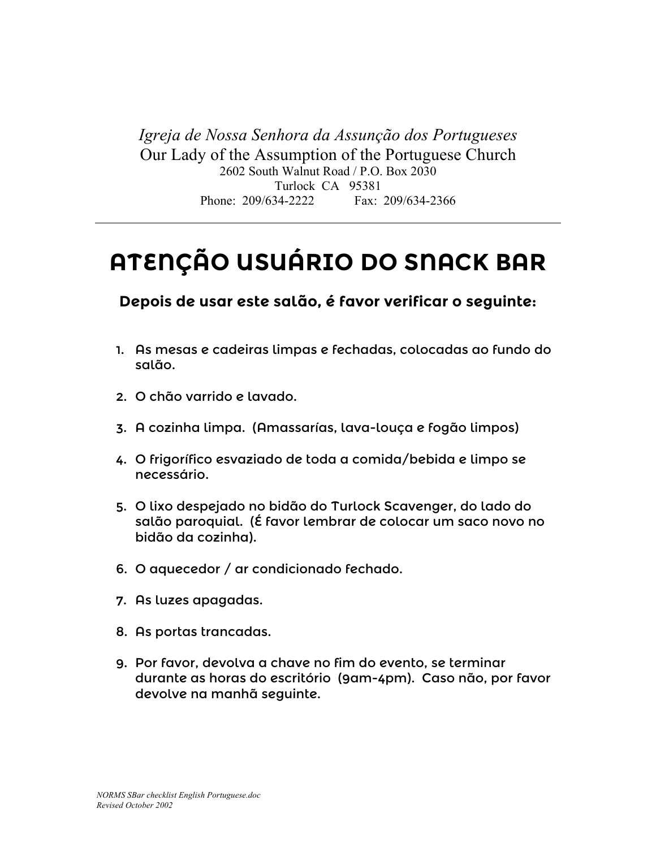*Igreja de Nossa Senhora da Assunção dos Portugueses* Our Lady of the Assumption of the Portuguese Church 2602 South Walnut Road / P.O. Box 2030 Turlock CA 95381 Phone: 209/634-2222 Fax: 209/634-2366

## **ATENÇÃO USUÁRIO DO SNACK BAR**

**Depois de usar este salão, é favor verificar o seguinte:**

- 1. As mesas e cadeiras limpas e fechadas, colocadas ao fundo do salão.
- 2. O chão varrido e lavado.
- 3. A cozinha limpa. (Amassarías, lava-louça e fogão limpos)
- 4. O frigorífico esvaziado de toda a comida/bebida e limpo se necessário.
- 5. O lixo despejado no bidão do Turlock Scavenger, do lado do salão paroquial. (É favor lembrar de colocar um saco novo no bidão da cozinha).
- 6. O aquecedor / ar condicionado fechado.
- 7. As luzes apagadas.
- 8. As portas trancadas.
- 9. Por favor, devolva a chave no fim do evento, se terminar durante as horas do escritório (9am-4pm). Caso não, por favor devolve na manhã seguinte.